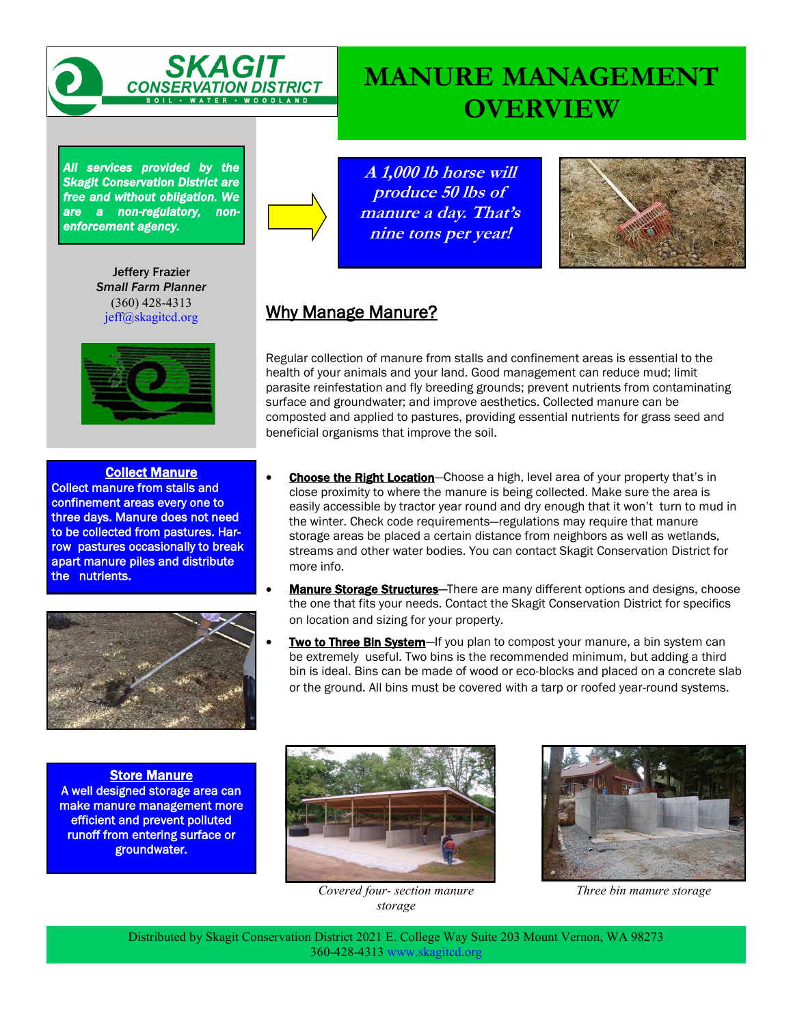

# **MANURE MANAGEMENT OVERVIEW**

*All services provided by the Skagit Conservation District are free and without obligation. We are a non-regulatory, nonenforcement agency.* 

> Jeffery Frazier *Small Farm Planner* (360) 428-4313 jeff@skagitcd.org



#### Collect Manure

Collect manure from stalls and confinement areas every one to three days. Manure does not need to be collected from pastures. Harrow pastures occasionally to break apart manure piles and distribute the nutrients.



**Store Manure** A well designed storage area can make manure management more efficient and prevent polluted runoff from entering surface or groundwater.

**A 1,000 lb horse will produce 50 lbs of manure a day. That's nine tons per year!**



#### Why Manage Manure?

Regular collection of manure from stalls and confinement areas is essential to the health of your animals and your land. Good management can reduce mud; limit parasite reinfestation and fly breeding grounds; prevent nutrients from contaminating surface and groundwater; and improve aesthetics. Collected manure can be composted and applied to pastures, providing essential nutrients for grass seed and beneficial organisms that improve the soil.

- Choose the Right Location-Choose a high, level area of your property that's in close proximity to where the manure is being collected. Make sure the area is easily accessible by tractor year round and dry enough that it won't turn to mud in the winter. Check code requirements—regulations may require that manure storage areas be placed a certain distance from neighbors as well as wetlands, streams and other water bodies. You can contact Skagit Conservation District for more info.
- **Manure Storage Structures**—There are many different options and designs, choose the one that fits your needs. Contact the Skagit Conservation District for specifics on location and sizing for your property.
- **Two to Three Bin System**—If you plan to compost your manure, a bin system can be extremely useful. Two bins is the recommended minimum, but adding a third bin is ideal. Bins can be made of wood or eco-blocks and placed on a concrete slab or the ground. All bins must be covered with a tarp or roofed year-round systems.